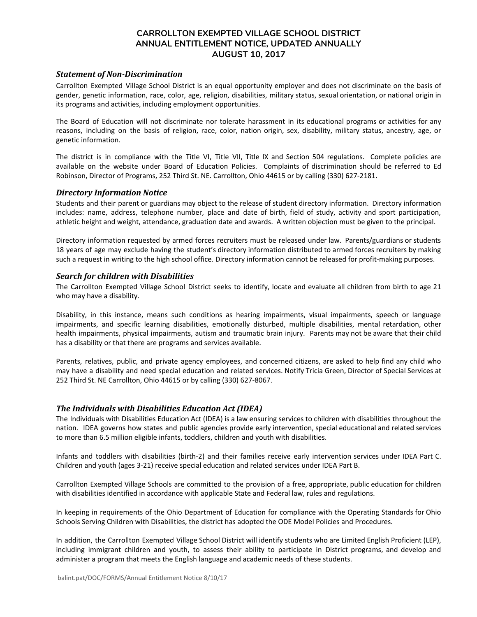# **CARROLLTON EXEMPTED VILLAGE SCHOOL DISTRICT ANNUAL ENTITLEMENT NOTICE, UPDATED ANNUALLY AUGUST 10, 2017**

## *Statement of Non-Discrimination*

Carrollton Exempted Village School District is an equal opportunity employer and does not discriminate on the basis of gender, genetic information, race, color, age, religion, disabilities, military status, sexual orientation, or national origin in its programs and activities, including employment opportunities.

The Board of Education will not discriminate nor tolerate harassment in its educational programs or activities for any reasons, including on the basis of religion, race, color, nation origin, sex, disability, military status, ancestry, age, or genetic information.

The district is in compliance with the Title VI, Title VII, Title IX and Section 504 regulations. Complete policies are available on the website under Board of Education Policies. Complaints of discrimination should be referred to Ed Robinson, Director of Programs, 252 Third St. NE. Carrollton, Ohio 44615 or by calling (330) 627-2181.

## *Directory Information Notice*

Students and their parent or guardians may object to the release of student directory information. Directory information includes: name, address, telephone number, place and date of birth, field of study, activity and sport participation, athletic height and weight, attendance, graduation date and awards. A written objection must be given to the principal.

Directory information requested by armed forces recruiters must be released under law. Parents/guardians or students 18 years of age may exclude having the student's directory information distributed to armed forces recruiters by making such a request in writing to the high school office. Directory information cannot be released for profit-making purposes.

#### *Search for children with Disabilities*

The Carrollton Exempted Village School District seeks to identify, locate and evaluate all children from birth to age 21 who may have a disability.

Disability, in this instance, means such conditions as hearing impairments, visual impairments, speech or language impairments, and specific learning disabilities, emotionally disturbed, multiple disabilities, mental retardation, other health impairments, physical impairments, autism and traumatic brain injury. Parents may not be aware that their child has a disability or that there are programs and services available.

Parents, relatives, public, and private agency employees, and concerned citizens, are asked to help find any child who may have a disability and need special education and related services. Notify Tricia Green, Director of Special Services at 252 Third St. NE Carrollton, Ohio 44615 or by calling (330) 627-8067.

## *The Individuals with Disabilities Education Act (IDEA)*

The Individuals with Disabilities Education Act (IDEA) is a law ensuring services to children with disabilities throughout the nation. IDEA governs how states and public agencies provide early intervention, special educational and related services to more than 6.5 million eligible infants, toddlers, children and youth with disabilities.

Infants and toddlers with disabilities (birth-2) and their families receive early intervention services under IDEA Part C. Children and youth (ages 3-21) receive special education and related services under IDEA Part B.

Carrollton Exempted Village Schools are committed to the provision of a free, appropriate, public education for children with disabilities identified in accordance with applicable State and Federal law, rules and regulations.

In keeping in requirements of the Ohio Department of Education for compliance with the Operating Standards for Ohio Schools Serving Children with Disabilities, the district has adopted the ODE Model Policies and Procedures.

In addition, the Carrollton Exempted Village School District will identify students who are Limited English Proficient (LEP), including immigrant children and youth, to assess their ability to participate in District programs, and develop and administer a program that meets the English language and academic needs of these students.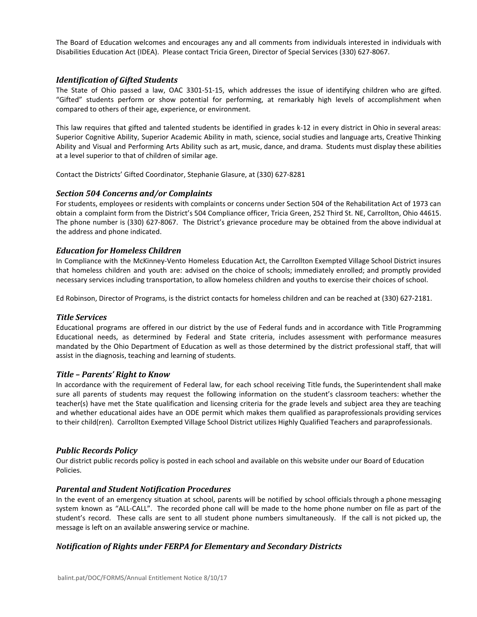The Board of Education welcomes and encourages any and all comments from individuals interested in individuals with Disabilities Education Act (IDEA). Please contact Tricia Green, Director of Special Services (330) 627-8067.

## *Identification of Gifted Students*

The State of Ohio passed a law, OAC 3301-51-15, which addresses the issue of identifying children who are gifted. "Gifted" students perform or show potential for performing, at remarkably high levels of accomplishment when compared to others of their age, experience, or environment.

This law requires that gifted and talented students be identified in grades k-12 in every district in Ohio in several areas: Superior Cognitive Ability, Superior Academic Ability in math, science, social studies and language arts, Creative Thinking Ability and Visual and Performing Arts Ability such as art, music, dance, and drama. Students must display these abilities at a level superior to that of children of similar age.

Contact the Districts' Gifted Coordinator, Stephanie Glasure, at (330) 627-8281

## *Section 504 Concerns and/or Complaints*

For students, employees or residents with complaints or concerns under Section 504 of the Rehabilitation Act of 1973 can obtain a complaint form from the District's 504 Compliance officer, Tricia Green, 252 Third St. NE, Carrollton, Ohio 44615. The phone number is (330) 627-8067. The District's grievance procedure may be obtained from the above individual at the address and phone indicated.

## *Education for Homeless Children*

In Compliance with the McKinney-Vento Homeless Education Act, the Carrollton Exempted Village School District insures that homeless children and youth are: advised on the choice of schools; immediately enrolled; and promptly provided necessary services including transportation, to allow homeless children and youths to exercise their choices of school.

Ed Robinson, Director of Programs, is the district contacts for homeless children and can be reached at (330) 627-2181.

## *Title Services*

Educational programs are offered in our district by the use of Federal funds and in accordance with Title Programming Educational needs, as determined by Federal and State criteria, includes assessment with performance measures mandated by the Ohio Department of Education as well as those determined by the district professional staff, that will assist in the diagnosis, teaching and learning of students.

## *Title – Parents' Right to Know*

In accordance with the requirement of Federal law, for each school receiving Title funds, the Superintendent shall make sure all parents of students may request the following information on the student's classroom teachers: whether the teacher(s) have met the State qualification and licensing criteria for the grade levels and subject area they are teaching and whether educational aides have an ODE permit which makes them qualified as paraprofessionals providing services to their child(ren). Carrollton Exempted Village School District utilizes Highly Qualified Teachers and paraprofessionals.

## *Public Records Policy*

Our district public records policy is posted in each school and available on this website under our Board of Education Policies.

## *Parental and Student Notification Procedures*

In the event of an emergency situation at school, parents will be notified by school officials through a phone messaging system known as "ALL-CALL". The recorded phone call will be made to the home phone number on file as part of the student's record. These calls are sent to all student phone numbers simultaneously. If the call is not picked up, the message is left on an available answering service or machine.

## *Notification of Rights under FERPA for Elementary and Secondary Districts*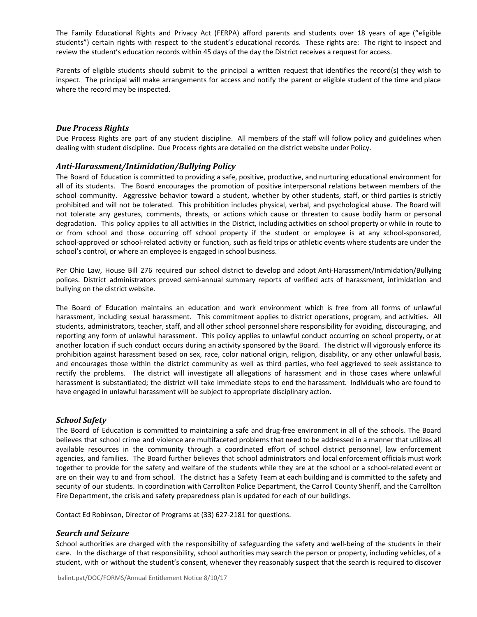The Family Educational Rights and Privacy Act (FERPA) afford parents and students over 18 years of age ("eligible students") certain rights with respect to the student's educational records. These rights are: The right to inspect and review the student's education records within 45 days of the day the District receives a request for access.

Parents of eligible students should submit to the principal a written request that identifies the record(s) they wish to inspect. The principal will make arrangements for access and notify the parent or eligible student of the time and place where the record may be inspected.

## *Due Process Rights*

Due Process Rights are part of any student discipline. All members of the staff will follow policy and guidelines when dealing with student discipline. Due Process rights are detailed on the district website under Policy.

#### *Anti-Harassment/Intimidation/Bullying Policy*

The Board of Education is committed to providing a safe, positive, productive, and nurturing educational environment for all of its students. The Board encourages the promotion of positive interpersonal relations between members of the school community. Aggressive behavior toward a student, whether by other students, staff, or third parties is strictly prohibited and will not be tolerated. This prohibition includes physical, verbal, and psychological abuse. The Board will not tolerate any gestures, comments, threats, or actions which cause or threaten to cause bodily harm or personal degradation. This policy applies to all activities in the District, including activities on school property or while in route to or from school and those occurring off school property if the student or employee is at any school-sponsored, school-approved or school-related activity or function, such as field trips or athletic events where students are under the school's control, or where an employee is engaged in school business.

Per Ohio Law, House Bill 276 required our school district to develop and adopt Anti-Harassment/Intimidation/Bullying polices. District administrators proved semi-annual summary reports of verified acts of harassment, intimidation and bullying on the district website.

The Board of Education maintains an education and work environment which is free from all forms of unlawful harassment, including sexual harassment. This commitment applies to district operations, program, and activities. All students, administrators, teacher, staff, and all other school personnel share responsibility for avoiding, discouraging, and reporting any form of unlawful harassment. This policy applies to unlawful conduct occurring on school property, or at another location if such conduct occurs during an activity sponsored by the Board. The district will vigorously enforce its prohibition against harassment based on sex, race, color national origin, religion, disability, or any other unlawful basis, and encourages those within the district community as well as third parties, who feel aggrieved to seek assistance to rectify the problems. The district will investigate all allegations of harassment and in those cases where unlawful harassment is substantiated; the district will take immediate steps to end the harassment. Individuals who are found to have engaged in unlawful harassment will be subject to appropriate disciplinary action.

#### *School Safety*

The Board of Education is committed to maintaining a safe and drug-free environment in all of the schools. The Board believes that school crime and violence are multifaceted problems that need to be addressed in a manner that utilizes all available resources in the community through a coordinated effort of school district personnel, law enforcement agencies, and families. The Board further believes that school administrators and local enforcement officials must work together to provide for the safety and welfare of the students while they are at the school or a school-related event or are on their way to and from school. The district has a Safety Team at each building and is committed to the safety and security of our students. In coordination with Carrollton Police Department, the Carroll County Sheriff, and the Carrollton Fire Department, the crisis and safety preparedness plan is updated for each of our buildings.

Contact Ed Robinson, Director of Programs at (33) 627-2181 for questions.

#### *Search and Seizure*

School authorities are charged with the responsibility of safeguarding the safety and well-being of the students in their care. In the discharge of that responsibility, school authorities may search the person or property, including vehicles, of a student, with or without the student's consent, whenever they reasonably suspect that the search is required to discover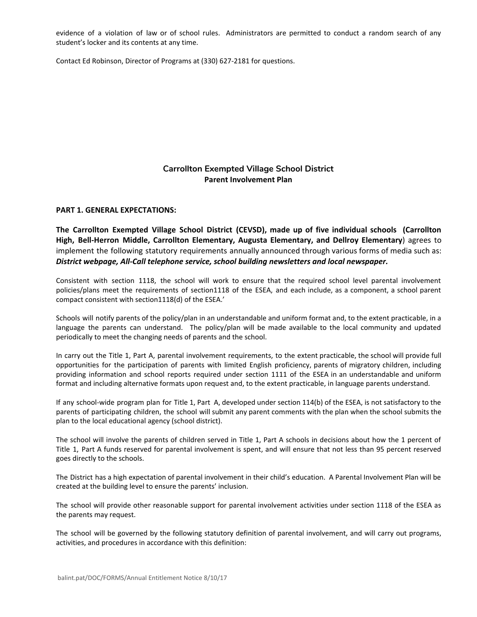evidence of a violation of law or of school rules. Administrators are permitted to conduct a random search of any student's locker and its contents at any time.

Contact Ed Robinson, Director of Programs at (330) 627-2181 for questions.

# **Carrollton Exempted Village School District Parent Involvement Plan**

## **PART 1. GENERAL EXPECTATIONS:**

**The Carrollton Exempted Village School District (CEVSD), made up of five individual schools (Carrollton High, Bell-Herron Middle, Carrollton Elementary, Augusta Elementary, and Dellroy Elementary**) agrees to implement the following statutory requirements annually announced through various forms of media such as: *District webpage, All-Call telephone service, school building newsletters and local newspaper.*

Consistent with section 1118, the school will work to ensure that the required school level parental involvement policies/plans meet the requirements of section1118 of the ESEA, and each include, as a component, a school parent compact consistent with section1118(d) of the ESEA.'

Schools will notify parents of the policy/plan in an understandable and uniform format and, to the extent practicable, in a language the parents can understand. The policy/plan will be made available to the local community and updated periodically to meet the changing needs of parents and the school.

In carry out the Title 1, Part A, parental involvement requirements, to the extent practicable, the school will provide full opportunities for the participation of parents with limited English proficiency, parents of migratory children, including providing information and school reports required under section 1111 of the ESEA in an understandable and uniform format and including alternative formats upon request and, to the extent practicable, in language parents understand.

If any school-wide program plan for Title 1, Part A, developed under section 114(b) of the ESEA, is not satisfactory to the parents of participating children, the school will submit any parent comments with the plan when the school submits the plan to the local educational agency (school district).

The school will involve the parents of children served in Title 1, Part A schools in decisions about how the 1 percent of Title 1, Part A funds reserved for parental involvement is spent, and will ensure that not less than 95 percent reserved goes directly to the schools.

The District has a high expectation of parental involvement in their child's education. A Parental Involvement Plan will be created at the building level to ensure the parents' inclusion.

The school will provide other reasonable support for parental involvement activities under section 1118 of the ESEA as the parents may request.

The school will be governed by the following statutory definition of parental involvement, and will carry out programs, activities, and procedures in accordance with this definition: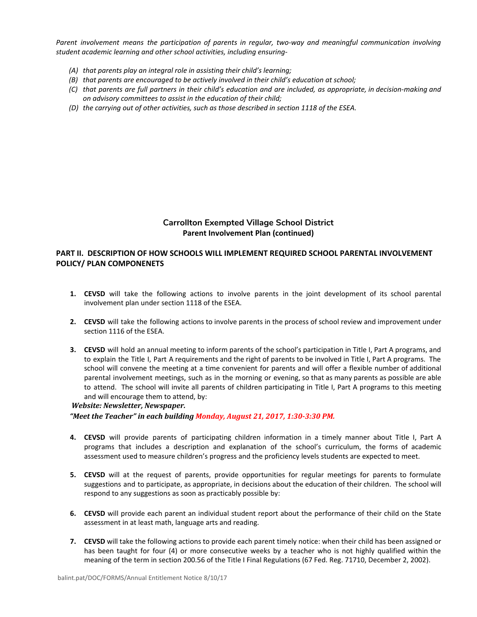*Parent involvement means the participation of parents in regular, two-way and meaningful communication involving student academic learning and other school activities, including ensuring-*

- *(A) that parents play an integral role in assisting their child's learning;*
- *(B) that parents are encouraged to be actively involved in their child's education at school;*
- (C) that parents are full partners in their child's education and are included, as appropriate, in decision-making and *on advisory committees to assist in the education of their child;*
- *(D) the carrying out of other activities, such as those described in section 1118 of the ESEA.*

## **Carrollton Exempted Village School District Parent Involvement Plan (continued)**

## **PART II. DESCRIPTION OF HOW SCHOOLS WILL IMPLEMENT REQUIRED SCHOOL PARENTAL INVOLVEMENT POLICY/ PLAN COMPONENETS**

- **1. CEVSD** will take the following actions to involve parents in the joint development of its school parental involvement plan under section 1118 of the ESEA.
- **2. CEVSD** will take the following actions to involve parents in the process of school review and improvement under section 1116 of the ESEA.
- **3. CEVSD** will hold an annual meeting to inform parents of the school's participation in Title I, Part A programs, and to explain the Title I, Part A requirements and the right of parents to be involved in Title I, Part A programs. The school will convene the meeting at a time convenient for parents and will offer a flexible number of additional parental involvement meetings, such as in the morning or evening, so that as many parents as possible are able to attend. The school will invite all parents of children participating in Title I, Part A programs to this meeting and will encourage them to attend, by:

## *Website: Newsletter, Newspaper.*

*"Meet the Teacher" in each building Monday, August 21, 2017, 1:30-3:30 PM.*

- **4. CEVSD** will provide parents of participating children information in a timely manner about Title I, Part A programs that includes a description and explanation of the school's curriculum, the forms of academic assessment used to measure children's progress and the proficiency levels students are expected to meet.
- **5. CEVSD** will at the request of parents, provide opportunities for regular meetings for parents to formulate suggestions and to participate, as appropriate, in decisions about the education of their children. The school will respond to any suggestions as soon as practicably possible by:
- **6. CEVSD** will provide each parent an individual student report about the performance of their child on the State assessment in at least math, language arts and reading.
- **7. CEVSD** will take the following actions to provide each parent timely notice: when their child has been assigned or has been taught for four (4) or more consecutive weeks by a teacher who is not highly qualified within the meaning of the term in section 200.56 of the Title I Final Regulations (67 Fed. Reg. 71710, December 2, 2002).